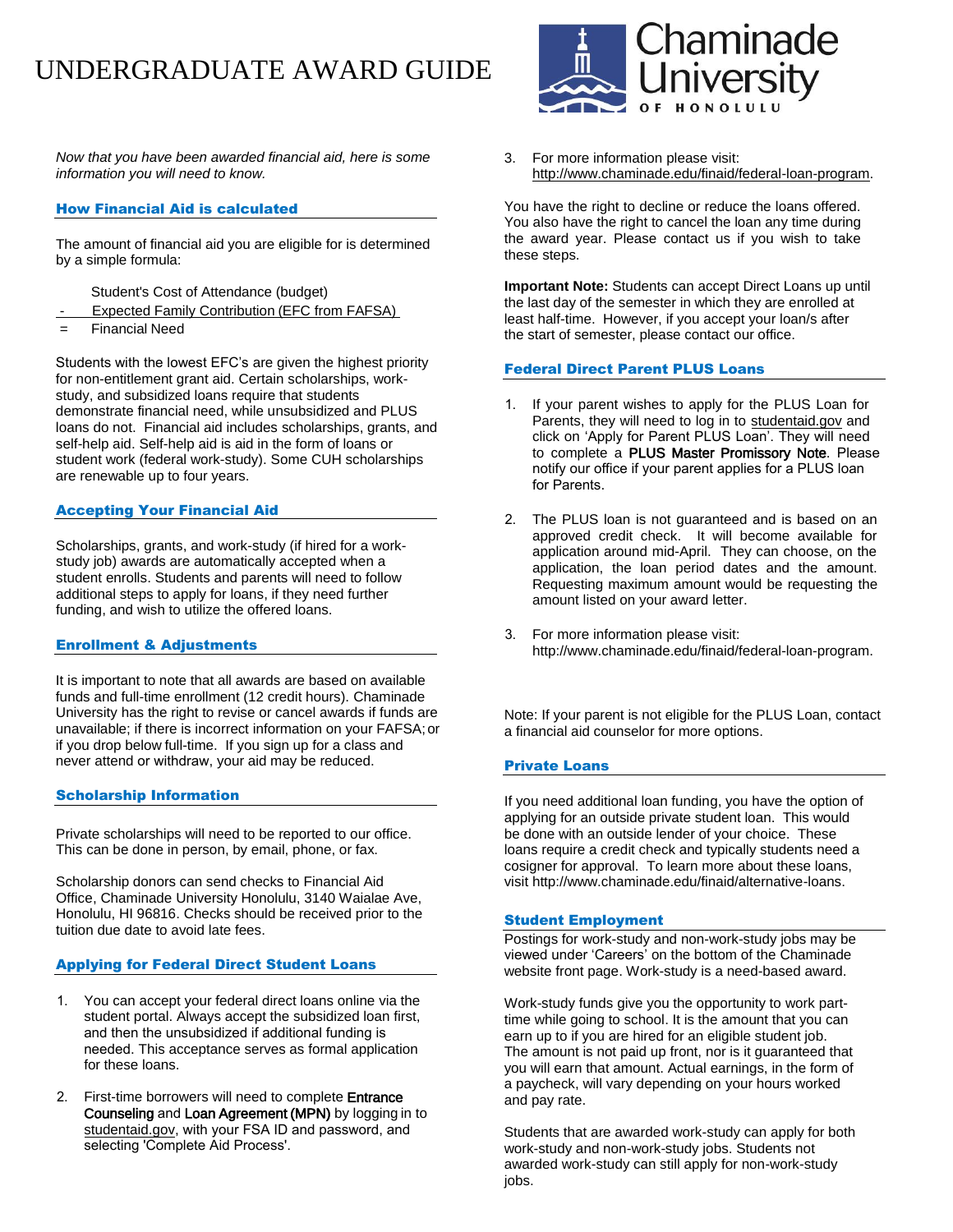# UNDERGRADUATE AWARD GUIDE

*Now that you have been awarded financial aid, here is some information you will need to know.*

## How Financial Aid is calculated

The amount of financial aid you are eligible for is determined by a simple formula:

Student's Cost of Attendance (budget)

- Expected Family Contribution (EFC from FAFSA)
- Financial Need

Students with the lowest EFC's are given the highest priority for non-entitlement grant aid. Certain scholarships, workstudy, and subsidized loans require that students demonstrate financial need, while unsubsidized and PLUS loans do not. Financial aid includes scholarships, grants, and self-help aid. Self-help aid is aid in the form of loans or student work (federal work-study). Some CUH scholarships are renewable up to four years.

## Accepting Your Financial Aid

Scholarships, grants, and work-study (if hired for a workstudy job) awards are automatically accepted when a student enrolls. Students and parents will need to follow additional steps to apply for loans, if they need further funding, and wish to utilize the offered loans.

## Enrollment & Adjustments

It is important to note that all awards are based on available funds and full-time enrollment (12 credit hours). Chaminade University has the right to revise or cancel awards if funds are unavailable; if there is incorrect information on your FAFSA; or if you drop below full-time. If you sign up for a class and never attend or withdraw, your aid may be reduced.

## Scholarship Information

Private scholarships will need to be reported to our office. This can be done in person, by email, phone, or fax.

Scholarship donors can send checks to Financial Aid Office, Chaminade University Honolulu, 3140 Waialae Ave, Honolulu, HI 96816. Checks should be received prior to the tuition due date to avoid late fees.

#### Applying for Federal Direct Student Loans

- 1. You can accept your federal direct loans online via the student portal. Always accept the subsidized loan first, and then the unsubsidized if additional funding is needed. This acceptance serves as formal application for these loans.
- 2. First-time borrowers will need to complete **Entrance** Counseling and Loan Agreement (MPN) by logging in to studentaid.gov, with your FSA ID and password, and selecting 'Complete Aid Process'.



3. For more information please visit: [http://www.chaminade.edu/finaid/federal-loan-program.](http://www.chaminade.edu/finaid/federal-loan-program)

You have the right to decline or reduce the loans offered. You also have the right to cancel the loan any time during the award year. Please contact us if you wish to take these steps.

**Important Note:** Students can accept Direct Loans up until the last day of the semester in which they are enrolled at least half-time. However, if you accept your loan/s after the start of semester, please contact our office.

# Federal Direct Parent PLUS Loans

- 1. If your parent wishes to apply for the PLUS Loan for Parents, they will need to log in to studentaid.gov and click on 'Apply for Parent PLUS Loan'. They will need to complete a PLUS Master Promissory Note. Please notify our office if your parent applies for a PLUS loan for Parents.
- 2. The PLUS loan is not guaranteed and is based on an approved credit check. It will become available for application around mid-April. They can choose, on the application, the loan period dates and the amount. Requesting maximum amount would be requesting the amount listed on your award letter.
- 3. For more information please visit: http://www.chaminade.edu/finaid/federal-loan-program.

Note: If your parent is not eligible for the PLUS Loan, contact a financial aid counselor for more options.

## Private Loans

If you need additional loan funding, you have the option of applying for an outside private student loan. This would be done with an outside lender of your choice. These loans require a credit check and typically students need a cosigner for approval. To learn more about these loans, visit [http://www.chaminade.edu/finaid/alternative-loans.](http://www.chaminade.edu/finaid/alternative-loans)

## Student Employment

Postings for work-study and non-work-study jobs may be viewed under 'Careers' on the bottom of the Chaminade website front page. Work-study is a need-based award.

Work-study funds give you the opportunity to work parttime while going to school. It is the amount that you can earn up to if you are hired for an eligible student job. The amount is not paid up front, nor is it guaranteed that you will earn that amount. Actual earnings, in the form of a paycheck, will vary depending on your hours worked and pay rate.

Students that are awarded work-study can apply for both work-study and non-work-study jobs. Students not awarded work-study can still apply for non-work-study jobs.